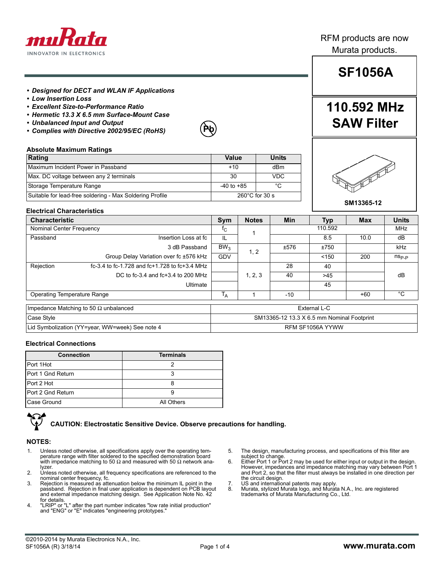

## **SF1056A**

**110.592 MHz**

**SAW Filter**

### *• Designed for DECT and WLAN IF Applications*

- *Low Insertion Loss*
- *Excellent Size-to-Performance Ratio*
- *Hermetic 13.3 X 6.5 mm Surface-Mount Case*
- *Unbalanced Input and Output*
- *Complies with Directive 2002/95/EC (RoHS)*



### **Absolute Maximum Ratings**

| Rating                                                   | Value                    | <b>Units</b> |  |
|----------------------------------------------------------|--------------------------|--------------|--|
| Maximum Incident Power in Passband                       | $+10$                    | dBm          |  |
| Max. DC voltage between any 2 terminals                  | 30                       | <b>VDC</b>   |  |
| Storage Temperature Range                                | $-40$ to $+85$           | °C           |  |
| Suitable for lead-free soldering - Max Soldering Profile | $260^{\circ}$ C for 30 s |              |  |



### **Electrical Characteristics**

| <b>Characteristic</b>                           |                                               | Sym             | <b>Notes</b>                               | <b>Min</b> | <b>Typ</b> | <b>Max</b> | <b>Units</b>   |
|-------------------------------------------------|-----------------------------------------------|-----------------|--------------------------------------------|------------|------------|------------|----------------|
| Nominal Center Frequency                        |                                               |                 |                                            |            | 110.592    |            | <b>MHz</b>     |
| Passband                                        | Insertion Loss at fc                          | IL.             |                                            |            | 8.5        | 10.0       | dB             |
|                                                 | 3 dB Passband                                 | BW <sub>3</sub> | 1, 2                                       | ±576       | ±750       |            | <b>kHz</b>     |
|                                                 | Group Delay Variation over fc ±576 kHz        | <b>GDV</b>      |                                            |            | < 150      | 200        | $n_{\rm Sp,p}$ |
| Rejection                                       | fc-3.4 to fc-1.728 and fc+1.728 to fc+3.4 MHz |                 |                                            | 28         | 40         |            |                |
|                                                 | DC to fc-3.4 and fc+3.4 to 200 MHz            |                 | 1, 2, 3                                    | 40         | >45        |            | dB             |
|                                                 | Ultimate                                      |                 |                                            |            | 45         |            |                |
| Operating Temperature Range                     |                                               |                 |                                            | $-10$      |            | $+60$      | °C             |
| Impedance Matching to 50 $\Omega$ unbalanced    |                                               | External L-C    |                                            |            |            |            |                |
| Case Style                                      |                                               |                 | SM13365-12 13.3 X 6.5 mm Nominal Footprint |            |            |            |                |
| Lid Symbolization (YY=year, WW=week) See note 4 |                                               |                 | RFM SF1056A YYWW                           |            |            |            |                |

#### **Electrical Connections**

| <b>Connection</b> | <b>Terminals</b> |
|-------------------|------------------|
| Port 1Hot         |                  |
| Port 1 Gnd Return |                  |
| Port 2 Hot        |                  |
| Port 2 Gnd Return |                  |
| Case Ground       | All Others       |

**CAUTION: Electrostatic Sensitive Device. Observe precautions for handling.**

### **NOTES:**

- 1. Unless noted otherwise, all specifications apply over the operating tem-<br>perature range with filter soldered to the specified demonstration board<br>with impedance matching to 50 Ω and measured with 50 Ω network analyzer.
- 2. Unless noted otherwise, all frequency specifications are referenced to the nominal center frequency, fc.
- 3. Rejection is measured as attenuation below the minimum IL point in the passband. Rejection in final user application is dependent on PCB layout and external impedance matching design. See Application Note No. 42 for details.
- 4. "LRIP" or "L" after the part number indicates "low rate initial production" and "ENG" or "E" indicates "engineering prototypes."
- 5. The design, manufacturing process, and specifications of this filter are subject to change. 6. Either Port 1 or Port 2 may be used for either input or output in the design.
- However, impedances and impedance matching may vary between Port 1 and Port 2, so that the filter must always be installed in one direction per the circuit design.
- 
- 7. US and international patents may apply. 8. Murata, stylized Murata logo, and Murata N.A., Inc. are registered trademarks of Murata Manufacturing Co., Ltd.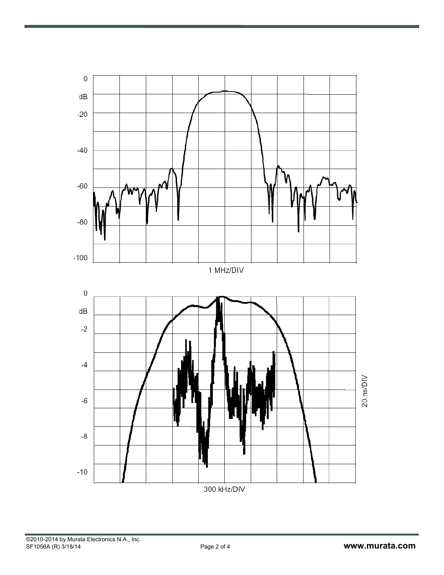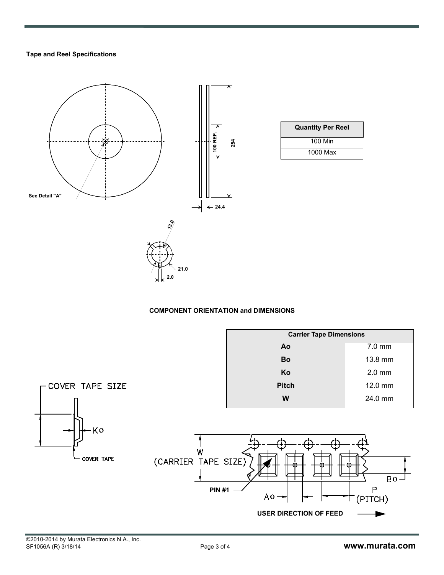## **Tape and Reel Specifications**



## **COMPONENT ORIENTATION and DIMENSIONS**

|                          |                                             | <b>Carrier Tape Dimensions</b>                |                             |  |
|--------------------------|---------------------------------------------|-----------------------------------------------|-----------------------------|--|
|                          |                                             | Ao                                            | $7.0$ mm                    |  |
|                          |                                             | Bo                                            | 13.8 mm                     |  |
|                          |                                             | Ko                                            | $2.0$ mm                    |  |
| COVER TAPE SIZE          |                                             | <b>Pitch</b>                                  | $12.0$ mm                   |  |
|                          |                                             | W                                             | 24.0 mm                     |  |
| ۰Kο<br><b>COVER TAPE</b> | > W<br>(CARRIER TAPE SIZE)<br><b>PIN #1</b> | ⊕<br>$A_0 -$<br><b>USER DIRECTION OF FEED</b> | Ð<br>$Bo -$<br>Ρ<br>(PITCH) |  |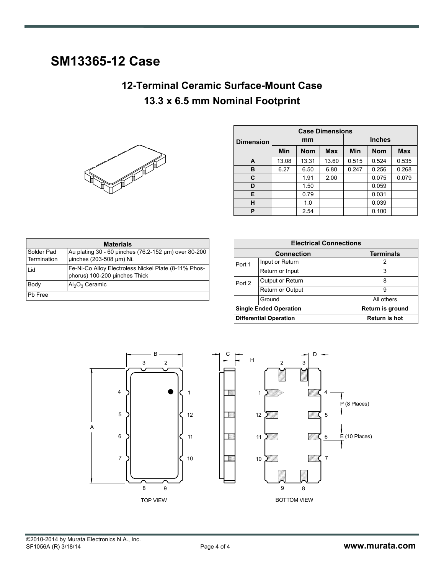## **SM13365-12 Case**

## **12-Terminal Ceramic Surface-Mount Case 13.3 x 6.5 mm Nominal Footprint**



| <b>Case Dimensions</b> |       |            |            |            |               |            |
|------------------------|-------|------------|------------|------------|---------------|------------|
| <b>Dimension</b>       |       | mm         |            |            | <b>Inches</b> |            |
|                        | Min   | <b>Nom</b> | <b>Max</b> | <b>Min</b> | <b>Nom</b>    | <b>Max</b> |
| A                      | 13.08 | 13.31      | 13.60      | 0.515      | 0.524         | 0.535      |
| в                      | 6.27  | 6.50       | 6.80       | 0.247      | 0.256         | 0.268      |
| C                      |       | 1.91       | 2.00       |            | 0.075         | 0.079      |
| D                      |       | 1.50       |            |            | 0.059         |            |
| E                      |       | 0.79       |            |            | 0.031         |            |
| н                      |       | 1.0        |            |            | 0.039         |            |
| P                      |       | 2.54       |            |            | 0.100         |            |

| <b>Materials</b>          |                                                                                       |  |  |  |  |
|---------------------------|---------------------------------------------------------------------------------------|--|--|--|--|
| Solder Pad<br>Termination | Au plating 30 - 60 uinches (76.2-152 µm) over 80-200<br>uinches (203-508 µm) Ni.      |  |  |  |  |
| Lid                       | Fe-Ni-Co Alloy Electroless Nickel Plate (8-11% Phos-<br>phorus) 100-200 uinches Thick |  |  |  |  |
| Body                      | $Al_2O_3$ Ceramic                                                                     |  |  |  |  |
| Pb Free                   |                                                                                       |  |  |  |  |

| <b>Electrical Connections</b> |                               |                      |  |  |
|-------------------------------|-------------------------------|----------------------|--|--|
|                               | <b>Connection</b>             | <b>Terminals</b>     |  |  |
| Port 1                        | Input or Return               | 2                    |  |  |
|                               | Return or Input               | 3                    |  |  |
| Port 2                        | Output or Return              | 8                    |  |  |
|                               | <b>Return or Output</b>       | 9                    |  |  |
|                               | Ground                        | All others           |  |  |
|                               | <b>Single Ended Operation</b> | Return is ground     |  |  |
|                               | <b>Differential Operation</b> | <b>Return is hot</b> |  |  |